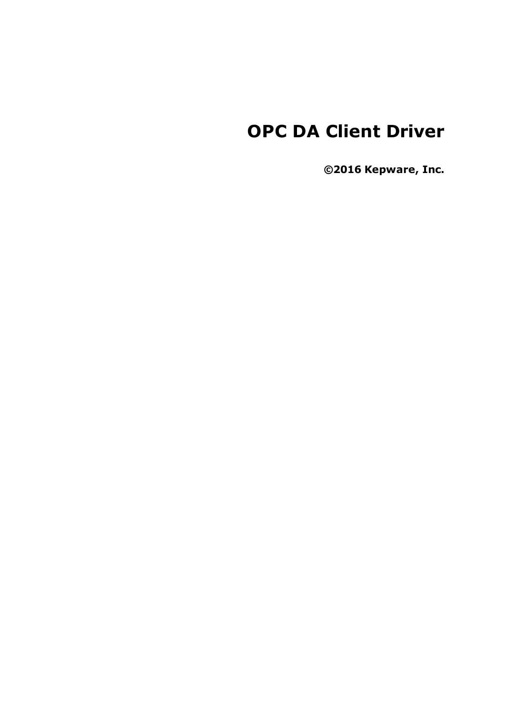# **OPC DA Client Driver**

**©2016 Kepware, Inc.**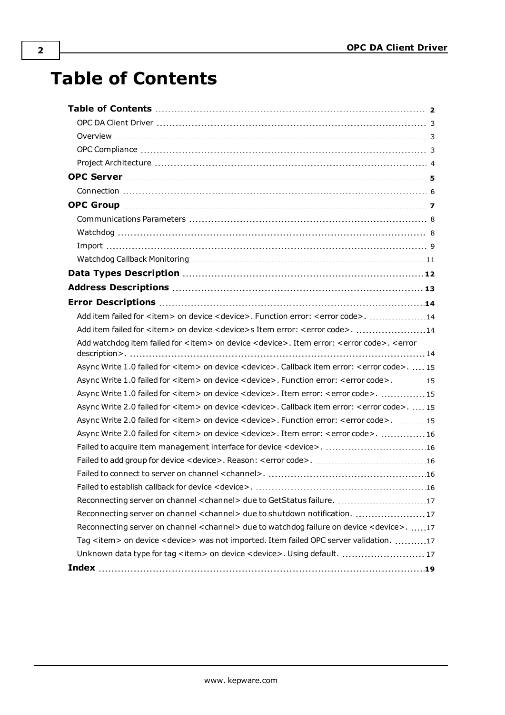# <span id="page-1-0"></span>**Table of Contents**

| Add item failed for <item> on device <device>. Function error: <error code="">. 14</error></device></item>                                    |  |
|-----------------------------------------------------------------------------------------------------------------------------------------------|--|
| Add item failed for <item> on device <device>s Item error: <error code="">. 14</error></device></item>                                        |  |
| Add watchdog item failed for <item> on device <device>. Item error: <error code="">. <error< td=""><td></td></error<></error></device></item> |  |
| Async Write 1.0 failed for <item> on device <device>. Callback item error: <error code="">.  15</error></device></item>                       |  |
| Async Write 1.0 failed for <item> on device <device>. Function error: <error code="">. 15</error></device></item>                             |  |
| Async Write 1.0 failed for <item> on device <device>. Item error: <error code="">. 15</error></device></item>                                 |  |
| Async Write 2.0 failed for <item> on device <device>. Callback item error: <error code="">.  15</error></device></item>                       |  |
| Async Write 2.0 failed for <item> on device <device>. Function error: <error code="">. 15</error></device></item>                             |  |
| Async Write 2.0 failed for <item> on device <device>. Item error: <error code="">. 16</error></device></item>                                 |  |
| Failed to acquire item management interface for device < device>. 16                                                                          |  |
|                                                                                                                                               |  |
|                                                                                                                                               |  |
|                                                                                                                                               |  |
| Reconnecting server on channel <channel> due to GetStatus failure. 17</channel>                                                               |  |
| Reconnecting server on channel <channel> due to shutdown notification. 17</channel>                                                           |  |
| Reconnecting server on channel <channel> due to watchdog failure on device <device>. 17</device></channel>                                    |  |
| Tag <item> on device <device> was not imported. Item failed OPC server validation. 17</device></item>                                         |  |
| Unknown data type for tag <item> on device <device>. Using default.  17</device></item>                                                       |  |
|                                                                                                                                               |  |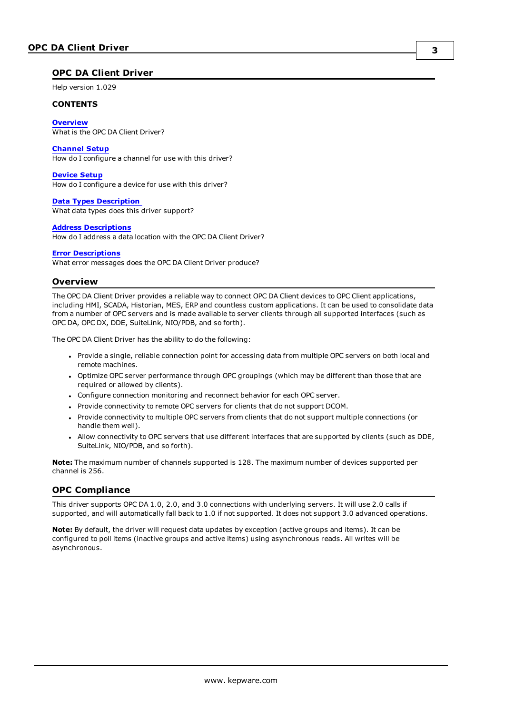#### <span id="page-2-0"></span>**OPC DA Client Driver**

Help version 1.029

#### **CONTENTS**

**[Overview](#page-2-1)** What is the OPC DA Client Driver?

#### **[Channel](#page-4-0) Setup**

How do I configure a channel for use with this driver?

#### **[Device](#page-6-0) Setup**

How do I configure a device for use with this driver?

#### **Data Types [Description](#page-11-0)** What data types does this driver support?

#### **Address [Descriptions](#page-12-0)**

How do I address a data location with the OPC DA Client Driver?

#### **Error [Descriptions](#page-13-0)**

<span id="page-2-1"></span>What error messages does the OPC DA Client Driver produce?

#### **Overview**

The OPC DA Client Driver provides a reliable way to connect OPC DA Client devices to OPC Client applications, including HMI, SCADA, Historian, MES, ERP and countless custom applications. It can be used to consolidate data from a number of OPC servers and is made available to server clients through all supported interfaces (such as OPC DA, OPC DX, DDE, SuiteLink, NIO/PDB, and so forth).

The OPC DA Client Driver has the ability to do the following:

- Provide a single, reliable connection point for accessing data from multiple OPC servers on both local and remote machines.
- Optimize OPC server performance through OPC groupings (which may be different than those that are required or allowed by clients).
- <span id="page-2-3"></span>• Configure connection monitoring and reconnect behavior for each OPC server.
- Provide connectivity to remote OPC servers for clients that do not support DCOM.
- Provide connectivity to multiple OPC servers from clients that do not support multiple connections (or handle them well).
- <sup>l</sup> Allow connectivity to OPC servers that use different interfaces that are supported by clients (such as DDE, SuiteLink, NIO/PDB, and so forth).

**Note:** The maximum number of channels supported is 128. The maximum number of devices supported per channel is 256.

#### <span id="page-2-2"></span>**OPC Compliance**

This driver supports OPC DA 1.0, 2.0, and 3.0 connections with underlying servers. It will use 2.0 calls if supported, and will automatically fall back to 1.0 if not supported. It does not support 3.0 advanced operations.

**Note:** By default, the driver will request data updates by exception (active groups and items). It can be configured to poll items (inactive groups and active items) using asynchronous reads. All writes will be asynchronous.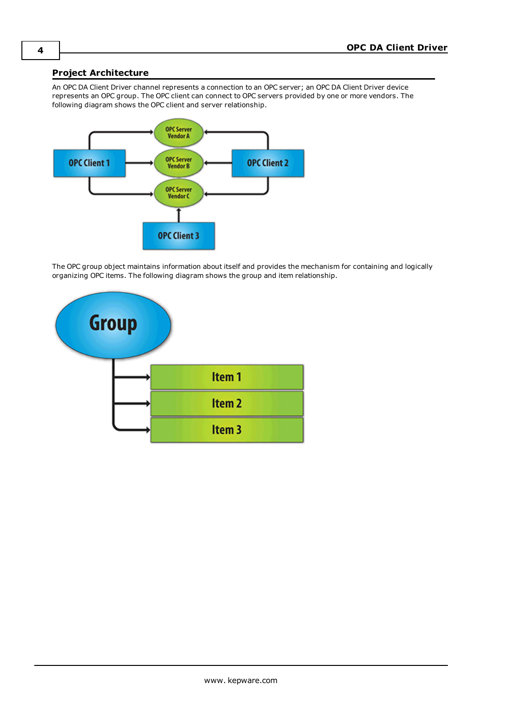### <span id="page-3-2"></span><span id="page-3-0"></span>**Project Architecture**

An OPC DA Client Driver channel represents a connection to an OPC server; an OPC DA Client Driver device represents an OPC group. The OPC client can connect to OPC servers provided by one or more vendors. The following diagram shows the OPC client and server relationship.



<span id="page-3-1"></span>The OPC group object maintains information about itself and provides the mechanism for containing and logically organizing OPC items. The following diagram shows the group and item relationship.

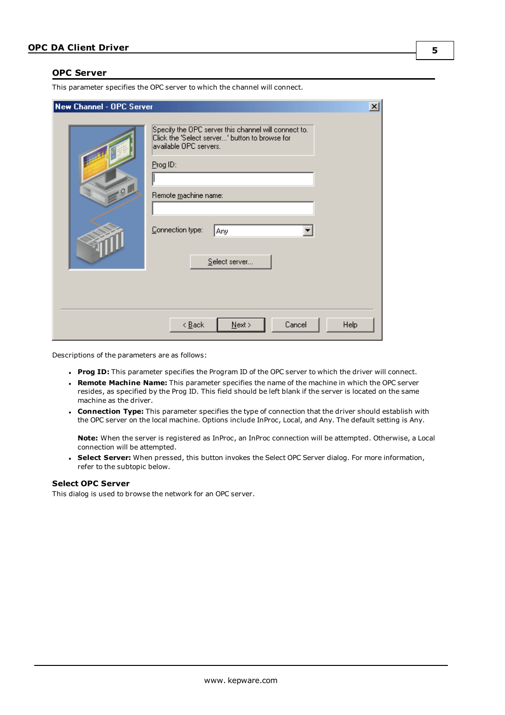#### <span id="page-4-1"></span><span id="page-4-0"></span>**OPC Server**

This parameter specifies the OPC server to which the channel will connect.

| New Channel - OPC Server |                                                                                                                                                                                                                  | $\vert x \vert$ |
|--------------------------|------------------------------------------------------------------------------------------------------------------------------------------------------------------------------------------------------------------|-----------------|
| Q                        | Specify the OPC server this channel will connect to.<br>Click the 'Select server' button to browse for<br>available OPC servers.<br>Prog ID:<br>Remote machine name:<br>Connection type:<br>Any<br>Select server |                 |
|                          | Cancel<br>$N$ ext ><br>Help<br>$\leq$ $\underline{B}$ ack                                                                                                                                                        |                 |

Descriptions of the parameters are as follows:

- <span id="page-4-4"></span><span id="page-4-3"></span>**Prog ID:** This parameter specifies the Program ID of the OPC server to which the driver will connect.
- <sup>l</sup> **Remote Machine Name:** This parameter specifies the name of the machine in which the OPC server resides, as specified by the Prog ID. This field should be left blank if the server is located on the same machine as the driver.
- <span id="page-4-2"></span><sup>l</sup> **Connection Type:** This parameter specifies the type of connection that the driver should establish with the OPC server on the local machine. Options include InProc, Local, and Any. The default setting is Any.

**Note:** When the server is registered as InProc, an InProc connection will be attempted. Otherwise, a Local connection will be attempted.

**. Select Server:** When pressed, this button invokes the Select OPC Server dialog. For more information, refer to the subtopic below.

#### **Select OPC Server**

This dialog is used to browse the network for an OPC server.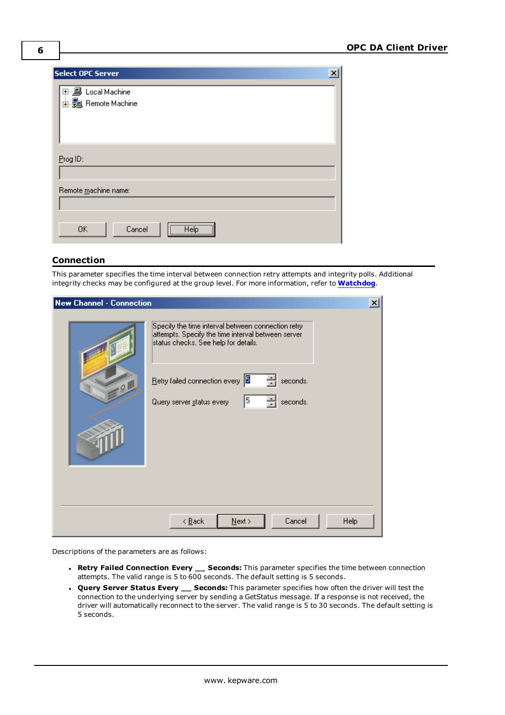| $\overline{\mathbf{x}}$<br>Select OPC Server          |
|-------------------------------------------------------|
| 国·· <b>鳳</b> Local Machine<br><b>⊞ Remote Machine</b> |
| Prog ID:                                              |
| Remote machine name:                                  |
| <b>Help</b><br>Cancel<br><b>OK</b>                    |

# <span id="page-5-0"></span>**Connection**

This parameter specifies the time interval between connection retry attempts and integrity polls. Additional integrity checks may be configured at the group level. For more information, refer to **[Watchdog](#page-7-1)**.

| <b>New Channel - Connection</b> | $\pmb{\times}$                                                                                                                                   |
|---------------------------------|--------------------------------------------------------------------------------------------------------------------------------------------------|
|                                 | Specify the time interval between connection retry<br>attempts. Specify the time interval between server<br>status checks. See help for details. |
| 0                               | Retry failed connection every<br>seconds.<br>5<br>seconds.<br>Query server status every                                                          |
|                                 |                                                                                                                                                  |
|                                 | Cancel<br>$N$ ext ><br>Help<br>$\leq$ $\underline{\mathsf{B}}$ ack                                                                               |

Descriptions of the parameters are as follows:

- <span id="page-5-2"></span><sup>l</sup> **Retry Failed Connection Every \_\_ Seconds:** This parameter specifies the time between connection attempts. The valid range is 5 to 600 seconds. The default setting is 5 seconds.
- <span id="page-5-1"></span><sup>l</sup> **Query Server Status Every \_\_ Seconds:** This parameter specifies how often the driver will test the connection to the underlying server by sending a GetStatus message. If a response is not received, the driver will automatically reconnect to the server. The valid range is 5 to 30 seconds. The default setting is 5 seconds.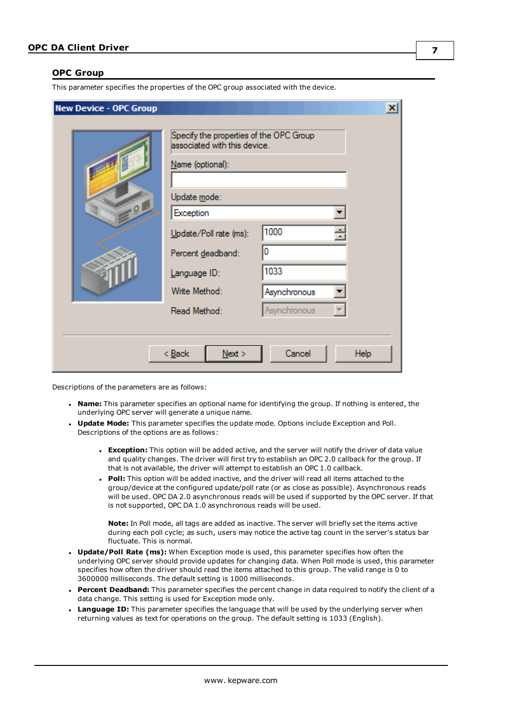#### <span id="page-6-0"></span>**OPC Group**

This parameter specifies the properties of the OPC group associated with the device.

| <b>New Device - OPC Group</b> |                                                                                                                                                                                                                          |                                                   | $\vert x \vert$ |
|-------------------------------|--------------------------------------------------------------------------------------------------------------------------------------------------------------------------------------------------------------------------|---------------------------------------------------|-----------------|
| $-0$                          | Specify the properties of the OPC Group<br>associated with this device.<br>Name (optional):<br>Update mode:<br>Exception<br>Update/Poll rate (ms):<br>Percent deadband:<br>Language ID:<br>Write Method:<br>Read Method: | 1000<br>0<br>1033<br>Asynchronous<br>Asynchronous |                 |
|                               | $<$ Back<br>Next                                                                                                                                                                                                         | Cancel                                            | Help            |

Descriptions of the parameters are as follows:

- **Name:** This parameter specifies an optional name for identifying the group. If nothing is entered, the underlying OPC server will generate a unique name.
- <span id="page-6-6"></span><span id="page-6-2"></span><sup>l</sup> **Update Mode:** This parameter specifies the update mode. Options include Exception and Poll. Descriptions of the options are as follows:
	- **Exception:** This option will be added active, and the server will notify the driver of data value and quality changes. The driver will first try to establish an OPC 2.0 callback for the group. If that is not available, the driver will attempt to establish an OPC 1.0 callback.
	- <sup>l</sup> **Poll:** This option will be added inactive, and the driver will read all items attached to the group/device at the configured update/poll rate (or as close as possible). Asynchronous reads will be used. OPC DA 2.0 asynchronous reads will be used if supported by the OPC server. If that is not supported, OPC DA 1.0 asynchronous reads will be used.

<span id="page-6-4"></span>**Note:** In Poll mode, all tags are added as inactive. The server will briefly set the items active during each poll cycle; as such, users may notice the active tag count in the server's status bar fluctuate. This is normal.

- <span id="page-6-5"></span><sup>l</sup> **Update/Poll Rate (ms):** When Exception mode is used, this parameter specifies how often the underlying OPC server should provide updates for changing data. When Poll mode is used, this parameter specifies how often the driver should read the items attached to this group. The valid range is 0 to 3600000 milliseconds. The default setting is 1000 milliseconds.
- <span id="page-6-1"></span><sup>l</sup> **Percent Deadband:** This parameter specifies the percent change in data required to notify the client of a data change. This setting is used for Exception mode only.
- <span id="page-6-3"></span>**Language ID:** This parameter specifies the language that will be used by the underlying server when returning values as text for operations on the group. The default setting is 1033 (English).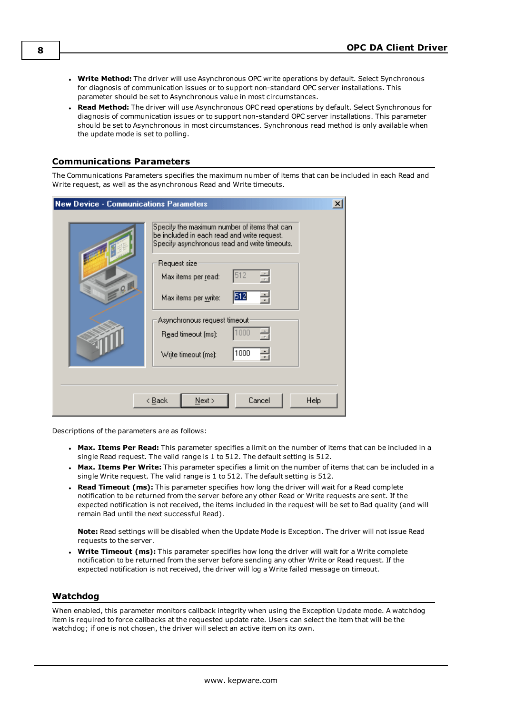- <span id="page-7-2"></span>**· Write Method:** The driver will use Asynchronous OPC write operations by default. Select Synchronous for diagnosis of communication issues or to support non-standard OPC server installations. This parameter should be set to Asynchronous value in most circumstances.
- <span id="page-7-4"></span><sup>l</sup> **Read Method:** The driver will use Asynchronous OPC read operations by default. Select Synchronous for diagnosis of communication issues or to support non-standard OPC server installations. This parameter should be set to Asynchronous in most circumstances. Synchronous read method is only available when the update mode is set to polling.

### <span id="page-7-0"></span>**Communications Parameters**

The Communications Parameters specifies the maximum number of items that can be included in each Read and Write request, as well as the asynchronous Read and Write timeouts.

| <b>New Device - Communications Parameters</b> |                                                                                                                                              | $\boldsymbol{\mathsf{x}}$ |
|-----------------------------------------------|----------------------------------------------------------------------------------------------------------------------------------------------|---------------------------|
|                                               | Specify the maximum number of items that can<br>be included in each read and write request.<br>Specify asynchronous read and write timeouts. |                           |
| Q                                             | Request size<br>512<br>싂<br>Max items per read:                                                                                              |                           |
|                                               | 512<br>Max items per write:<br>Asynchronous request timeout <sup>.</sup>                                                                     |                           |
|                                               | 1000<br>Read timeout (ms):                                                                                                                   |                           |
|                                               | 1000<br>싂<br>Write timeout (ms):                                                                                                             |                           |
|                                               | Cancel<br>$N$ ext ><br>< <u>B</u> ack                                                                                                        | Help                      |

Descriptions of the parameters are as follows:

- <span id="page-7-5"></span><sup>l</sup> **Max. Items Per Read:** This parameter specifies a limit on the number of items that can be included in a single Read request. The valid range is 1 to 512. The default setting is 512.
- <span id="page-7-7"></span><sup>l</sup> **Max. Items Per Write:** This parameter specifies a limit on the number of items that can be included in a single Write request. The valid range is 1 to 512. The default setting is 512.
- <span id="page-7-6"></span><sup>l</sup> **Read Timeout (ms):** This parameter specifies how long the driver will wait for a Read complete notification to be returned from the server before any other Read or Write requests are sent. If the expected notification is not received, the items included in the request will be set to Bad quality (and will remain Bad until the next successful Read).

<span id="page-7-8"></span>**Note:** Read settings will be disabled when the Update Mode is Exception. The driver will not issue Read requests to the server.

<sup>l</sup> **Write Timeout (ms):** This parameter specifies how long the driver will wait for a Write complete notification to be returned from the server before sending any other Write or Read request. If the expected notification is not received, the driver will log a Write failed message on timeout.

#### <span id="page-7-3"></span><span id="page-7-1"></span>**Watchdog**

When enabled, this parameter monitors callback integrity when using the Exception Update mode. A watchdog item is required to force callbacks at the requested update rate. Users can select the item that will be the watchdog; if one is not chosen, the driver will select an active item on its own.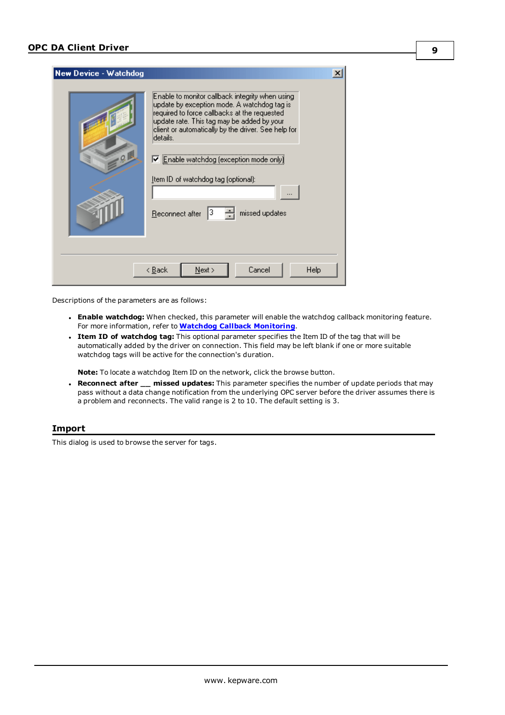| <b>New Device - Watchdog</b> | $\boldsymbol{\mathsf{x}}$                                                                                                                                                                                                                                                                                                                                                                      |
|------------------------------|------------------------------------------------------------------------------------------------------------------------------------------------------------------------------------------------------------------------------------------------------------------------------------------------------------------------------------------------------------------------------------------------|
|                              | Enable to monitor callback integrity when using.<br>update by exception mode. A watchdog tag is:<br>required to force callbacks at the requested<br>update rate. This tag may be added by your<br>client or automatically by the driver. See help for<br>details.<br>☑ Enable watchdog (exception mode only)<br>Item ID of watchdog tag (optional):<br>missed updates<br>13<br>Reconnect after |
|                              | Cancel<br>$N$ ext ><br>Help<br>< <u>B</u> ack                                                                                                                                                                                                                                                                                                                                                  |

Descriptions of the parameters are as follows:

<span id="page-8-1"></span>**Enable watchdog:** When checked, this parameter will enable the watchdog callback monitoring feature. For more information, refer to **Watchdog Callback [Monitoring](#page-10-0)**.

**9**

<sup>l</sup> **Item ID of watchdog tag:** This optional parameter specifies the Item ID of the tag that will be automatically added by the driver on connection. This field may be left blank if one or more suitable watchdog tags will be active for the connection's duration.

<span id="page-8-2"></span>**Note:** To locate a watchdog Item ID on the network, click the browse button.

<sup>l</sup> **Reconnect after \_\_ missed updates:** This parameter specifies the number of update periods that may pass without a data change notification from the underlying OPC server before the driver assumes there is a problem and reconnects. The valid range is 2 to 10. The default setting is 3.

#### <span id="page-8-0"></span>**Import**

This dialog is used to browse the server for tags.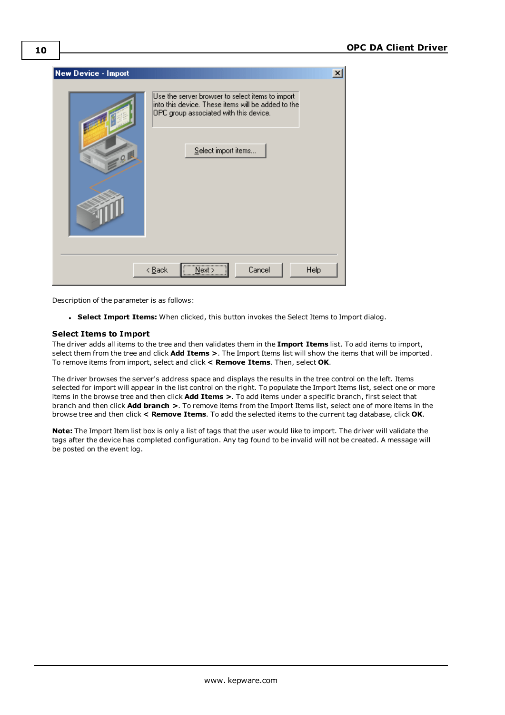

Description of the parameter is as follows:

<sup>l</sup> **Select Import Items:** When clicked, this button invokes the Select Items to Import dialog.

#### **Select Items to Import**

The driver adds all items to the tree and then validates them in the **Import Items** list. To add items to import, select them from the tree and click **Add Items >**. The Import Items list will show the items that will be imported. To remove items from import, select and click **< Remove Items**. Then, select **OK**.

<span id="page-9-0"></span>The driver browses the server's address space and displays the results in the tree control on the left. Items selected for import will appear in the list control on the right. To populate the Import Items list, select one or more items in the browse tree and then click **Add Items >**. To add items under a specific branch, first select that branch and then click **Add branch >**. To remove items from the Import Items list, select one of more items in the browse tree and then click **< Remove Items**. To add the selected items to the current tag database, click **OK**.

<span id="page-9-1"></span>**Note:** The Import Item list box is only a list of tags that the user would like to import. The driver will validate the tags after the device has completed configuration. Any tag found to be invalid will not be created. A message will be posted on the event log.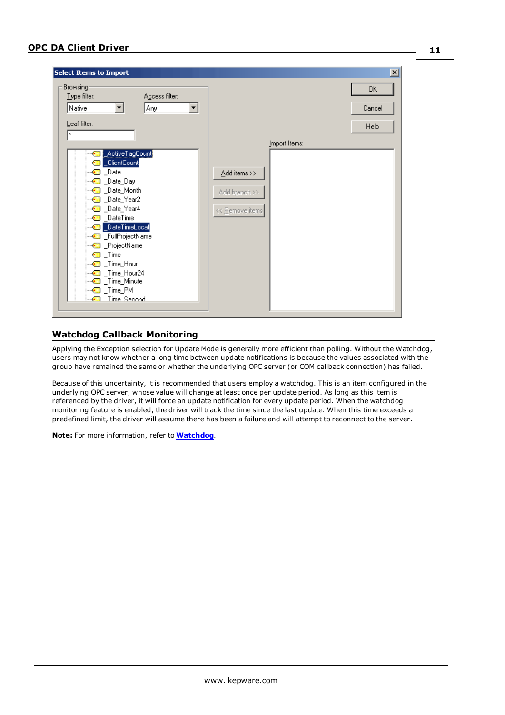|                                                                                                                                                                                                                                                                                                                                                                                                                                                                                                               | $\mathbf{x}$         |
|---------------------------------------------------------------------------------------------------------------------------------------------------------------------------------------------------------------------------------------------------------------------------------------------------------------------------------------------------------------------------------------------------------------------------------------------------------------------------------------------------------------|----------------------|
| Browsing:<br>Type filter:<br>Agcess filter:<br>Native<br>Any<br>▾<br>▼∣<br>Leaf filter:<br>l×<br>Import Items:<br>_ActiveTagCount<br>_ClientCount<br>-- <mark>©</mark> _Date<br>Add items >><br><b>a</b> _Date_Day<br>Add branch >><br><sup></sup> Date_Year2<br><< Remove items<br><sup></sup> DateTime<br>_DateTimeLocal<br>-C _FullProjectName<br><sup></sup> ProjectName<br><b>i</b> _Time<br>- <del>©</del> _Time_Hour<br>· Time_Hour24<br><sup></sup> Time_Minute<br>$\_Time\_PM$<br>Time Second<br>$-$ | 0K<br>Cancel<br>Help |

### <span id="page-10-1"></span><span id="page-10-0"></span>**Watchdog Callback Monitoring**

Applying the Exception selection for Update Mode is generally more efficient than polling. Without the Watchdog, users may not know whether a long time between update notifications is because the values associated with the group have remained the same or whether the underlying OPC server (or COM callback connection) has failed.

<span id="page-10-2"></span>Because of this uncertainty, it is recommended that users employ a watchdog. This is an item configured in the underlying OPC server, whose value will change at least once per update period. As long as this item is referenced by the driver, it will force an update notification for every update period. When the watchdog monitoring feature is enabled, the driver will track the time since the last update. When this time exceeds a predefined limit, the driver will assume there has been a failure and will attempt to reconnect to the server.

**Note:** For more information, refer to **[Watchdog](#page-7-1)**.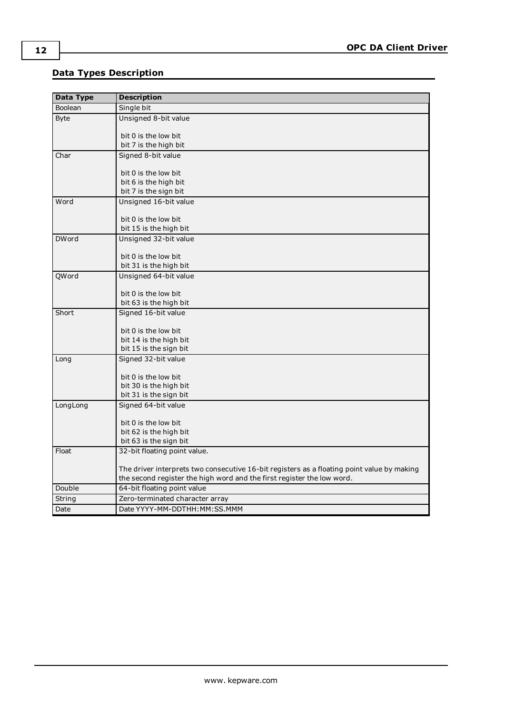# <span id="page-11-0"></span>**Data Types Description**

<span id="page-11-13"></span><span id="page-11-12"></span><span id="page-11-11"></span><span id="page-11-10"></span><span id="page-11-9"></span><span id="page-11-8"></span><span id="page-11-7"></span><span id="page-11-6"></span><span id="page-11-5"></span><span id="page-11-4"></span><span id="page-11-3"></span><span id="page-11-2"></span><span id="page-11-1"></span>

| <b>Data Type</b> | <b>Description</b>                                                                         |
|------------------|--------------------------------------------------------------------------------------------|
| Boolean          | Single bit                                                                                 |
| <b>Byte</b>      | Unsigned 8-bit value                                                                       |
|                  |                                                                                            |
|                  | bit 0 is the low bit<br>bit 7 is the high bit                                              |
| Char             | Signed 8-bit value                                                                         |
|                  |                                                                                            |
|                  | bit 0 is the low bit                                                                       |
|                  | bit 6 is the high bit                                                                      |
|                  | bit 7 is the sign bit                                                                      |
| Word             | Unsigned 16-bit value                                                                      |
|                  | bit 0 is the low bit                                                                       |
|                  | bit 15 is the high bit                                                                     |
| <b>DWord</b>     | Unsigned 32-bit value                                                                      |
|                  |                                                                                            |
|                  | bit 0 is the low bit                                                                       |
|                  | bit 31 is the high bit                                                                     |
| QWord            | Unsigned 64-bit value                                                                      |
|                  |                                                                                            |
|                  | bit 0 is the low bit<br>bit 63 is the high bit                                             |
| Short            | Signed 16-bit value                                                                        |
|                  |                                                                                            |
|                  | bit 0 is the low bit                                                                       |
|                  | bit 14 is the high bit                                                                     |
|                  | bit 15 is the sign bit                                                                     |
| Long             | Signed 32-bit value                                                                        |
|                  |                                                                                            |
|                  | bit 0 is the low bit<br>bit 30 is the high bit                                             |
|                  | bit 31 is the sign bit                                                                     |
| LongLong         | Signed 64-bit value                                                                        |
|                  |                                                                                            |
|                  | bit 0 is the low bit                                                                       |
|                  | bit 62 is the high bit                                                                     |
|                  | bit 63 is the sign bit                                                                     |
| Float            | 32-bit floating point value.                                                               |
|                  | The driver interprets two consecutive 16-bit registers as a floating point value by making |
|                  | the second register the high word and the first register the low word.                     |
| Double           | 64-bit floating point value                                                                |
| String           | Zero-terminated character array                                                            |
| Date             | Date YYYY-MM-DDTHH: MM: SS. MMM                                                            |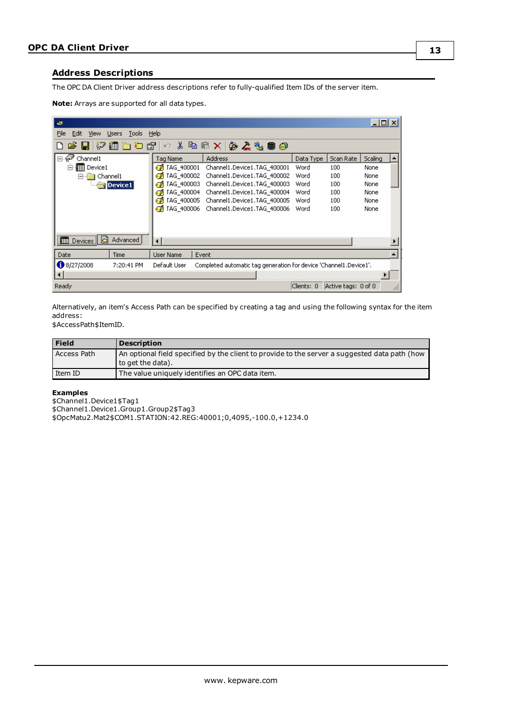### <span id="page-12-3"></span><span id="page-12-0"></span>**Address Descriptions**

<span id="page-12-2"></span>The OPC DA Client Driver address descriptions refer to fully-qualified Item IDs of the server item.

| Note: Arrays are supported for all data types. |
|------------------------------------------------|
|------------------------------------------------|

| بالقد                                          |                                                                                   |            |                     | $\Box$ o $\times$ |  |
|------------------------------------------------|-----------------------------------------------------------------------------------|------------|---------------------|-------------------|--|
| File<br>Edit.<br>View<br>Tools<br><b>Users</b> | Help                                                                              |            |                     |                   |  |
|                                                |                                                                                   |            |                     |                   |  |
| Channel1<br>$-60$<br>F                         | <b>Address</b><br>Tag Name                                                        | Data Type  | Scan Rate           | Scaling           |  |
| <b>III</b> Device1<br>F.                       | $\mathcal O$ TAG 400001<br>Channel1.Device1.TAG 400001                            | Word       | 100                 | None              |  |
| 모<br>Channel1                                  | TAG 400002<br>Channel1.Device1.TAG 400002<br>ø                                    | Word       | 100                 | None              |  |
| Device1                                        | TAG 400003<br>Channel1.Device1.TAG 400003                                         | Word       | 100                 | None              |  |
|                                                | TAG 400004<br>Channel1.Device1.TAG 400004                                         | Word       | 100                 | None              |  |
|                                                | TAG 400005<br>Channel1.Device1.TAG_400005                                         | Word       | 100                 | None              |  |
|                                                | TAG 400006<br>Channel1.Device1.TAG 400006<br>æ.                                   | Word       | 100                 | None              |  |
| IIII Devices <b>同</b><br>Advanced              | $\blacktriangleleft$                                                              |            |                     |                   |  |
| Date<br>Time                                   | Event<br>User Name                                                                |            |                     |                   |  |
| $\bigcirc$ 8/27/2008<br>7:20:41 PM             | Default User<br>Completed automatic tag generation for device 'Channel1.Device1'. |            |                     |                   |  |
| $\left  \cdot \right $                         |                                                                                   |            |                     |                   |  |
| Ready                                          |                                                                                   | Clients: 0 | Active tags: 0 of 0 |                   |  |

<span id="page-12-1"></span>Alternatively, an item's Access Path can be specified by creating a tag and using the following syntax for the item address:

\$AccessPath\$ItemID.

| <b>Field</b>       | <b>Description</b>                                                                                                   |
|--------------------|----------------------------------------------------------------------------------------------------------------------|
| <b>Access Path</b> | An optional field specified by the client to provide to the server a suggested data path (how<br>  to get the data). |
| l Item ID          | The value uniquely identifies an OPC data item.                                                                      |

#### **Examples**

\$Channel1.Device1\$Tag1 \$Channel1.Device1.Group1.Group2\$Tag3 \$OpcMatu2.Mat2\$COM1.STATION:42.REG:40001;0,4095,-100.0,+1234.0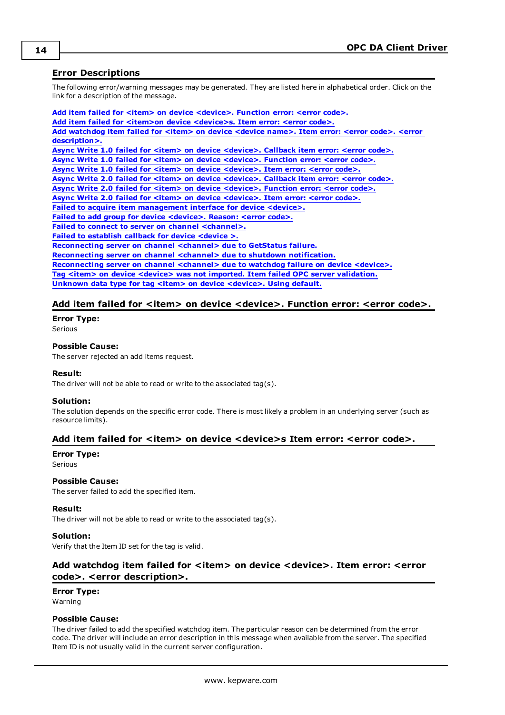### <span id="page-13-0"></span>**Error Descriptions**

The following error/warning messages may be generated. They are listed here in alphabetical order. Click on the link for a description of the message.

**Add item failed for <item> on device [<device>.](#page-13-1) Function error: <error code>. Add item failed for <item>on device [<device>s.](#page-13-2) Item error: <error code>. Add [watchdog](#page-13-3) item failed for <item> on device <device name>. Item error: <error code>. <error [description>.](#page-13-3) Async Write 1.0 failed for <item> on device [<device>.](#page-14-0) Callback item error: <error code>. Async Write 1.0 failed for <item> on device [<device>.](#page-14-1) Function error: <error code>. Async Write 1.0 failed for <item> on device [<device>.](#page-14-2) Item error: <error code>. Async Write 2.0 failed for <item> on device [<device>.](#page-14-3) Callback item error: <error code>. Async Write 2.0 failed for <item> on device [<device>.](#page-14-4) Function error: <error code>. Async Write 2.0 failed for <item> on device [<device>.](#page-15-0) Item error: <error code>. Failed to acquire item [management](#page-15-1) interface for device <device>. Failed to add group for device [<device>.](#page-15-2) Reason: <error code>. Failed to connect to server on channel [<channel>.](#page-15-3) Failed to [establish](#page-15-4) callback for device <device >. [Reconnecting](#page-16-0) server on channel <channel> due to GetStatus failure. [Reconnecting](#page-16-1) server on channel <channel> due to shutdown notification. [Reconnecting](#page-16-2) server on channel <channel> due to watchdog failure on device <device>. Tag <item> on device <device> was not imported. Item failed OPC server [validation.](#page-16-3) Unknown data type for tag <item> on device [<device>.](#page-16-4) Using default.**

### <span id="page-13-1"></span>Add item failed for  $\lt$ item> on device  $\lt$ device>. Function error:  $\lt$ error code>.

**Error Type:**

# Serious

#### **Possible Cause:**

The server rejected an add items request.

#### **Result:**

The driver will not be able to read or write to the associated tag(s).

#### **Solution:**

The solution depends on the specific error code. There is most likely a problem in an underlying server (such as resource limits).

#### <span id="page-13-2"></span>**Add item failed for <item> on device <device>s Item error: <error code>.**

#### **Error Type:**

Serious

#### **Possible Cause:**

The server failed to add the specified item.

#### **Result:**

The driver will not be able to read or write to the associated tag(s).

#### **Solution:**

<span id="page-13-3"></span>Verify that the Item ID set for the tag is valid.

# **Add watchdog item failed for <item> on device <device>. Item error: <error code>. <error description>.**

# **Error Type:**

Warning

### **Possible Cause:**

The driver failed to add the specified watchdog item. The particular reason can be determined from the error code. The driver will include an error description in this message when available from the server. The specified Item ID is not usually valid in the current server configuration.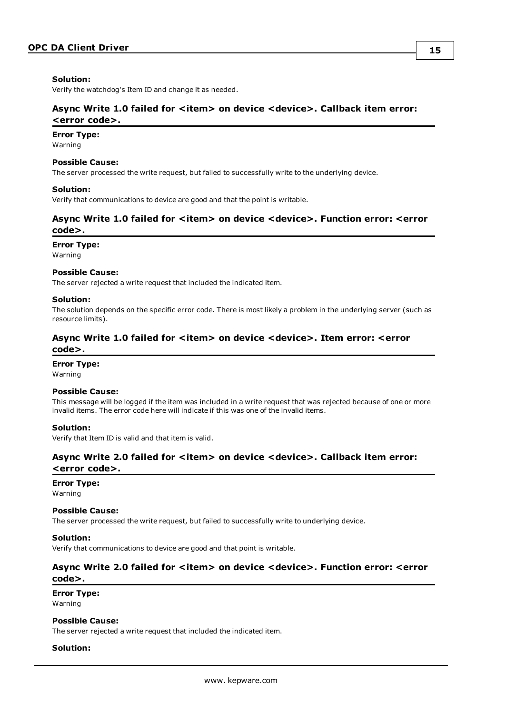#### **Solution:**

<span id="page-14-0"></span>Verify the watchdog's Item ID and change it as needed.

### **Async Write 1.0 failed for <item> on device <device>. Callback item error: <error code>.**

#### **Error Type:**

Warning

#### **Possible Cause:**

The server processed the write request, but failed to successfully write to the underlying device.

#### **Solution:**

<span id="page-14-1"></span>Verify that communications to device are good and that the point is writable.

### **Async Write 1.0 failed for <item> on device <device>. Function error: <error code>.**

#### **Error Type:**

Warning

#### **Possible Cause:**

The server rejected a write request that included the indicated item.

#### **Solution:**

The solution depends on the specific error code. There is most likely a problem in the underlying server (such as resource limits).

### <span id="page-14-2"></span>**Async Write 1.0 failed for <item> on device <device>. Item error: <error code>.**

#### **Error Type:**

Warning

#### **Possible Cause:**

This message will be logged if the item was included in a write request that was rejected because of one or more invalid items. The error code here will indicate if this was one of the invalid items.

#### **Solution:**

<span id="page-14-3"></span>Verify that Item ID is valid and that item is valid.

### **Async Write 2.0 failed for <item> on device <device>. Callback item error: <error code>.**

#### **Error Type:**

Warning

#### **Possible Cause:**

The server processed the write request, but failed to successfully write to underlying device.

#### **Solution:**

<span id="page-14-4"></span>Verify that communications to device are good and that point is writable.

### **Async Write 2.0 failed for <item> on device <device>. Function error: <error code>.**

### **Error Type:**

Warning

#### **Possible Cause:**

The server rejected a write request that included the indicated item.

#### **Solution:**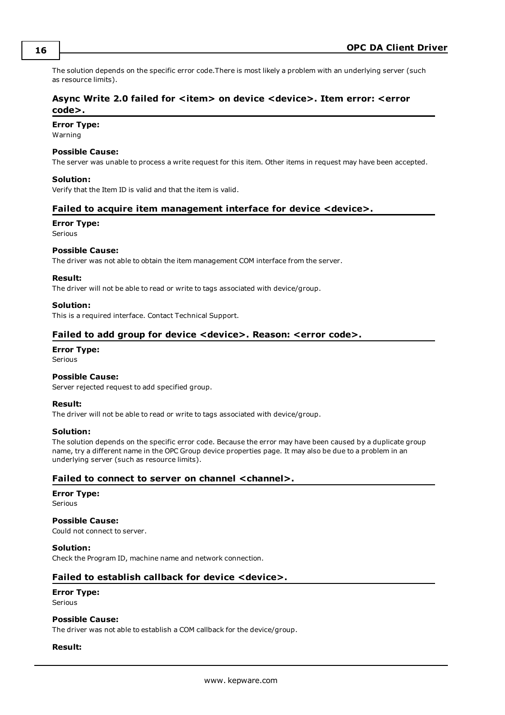The solution depends on the specific error code.There is most likely a problem with an underlying server (such as resource limits).

# <span id="page-15-0"></span>**Async Write 2.0 failed for <item> on device <device>. Item error: <error code>.**

#### **Error Type:**

Warning

#### **Possible Cause:**

The server was unable to process a write request for this item. Other items in request may have been accepted.

#### **Solution:**

<span id="page-15-1"></span>Verify that the Item ID is valid and that the item is valid.

#### **Failed to acquire item management interface for device <device>.**

#### **Error Type:**

Serious

#### **Possible Cause:**

The driver was not able to obtain the item management COM interface from the server.

#### **Result:**

The driver will not be able to read or write to tags associated with device/group.

#### **Solution:**

<span id="page-15-2"></span>This is a required interface. Contact Technical Support.

### **Failed to add group for device <device>. Reason: <error code>.**

# **Error Type:**

Serious

#### **Possible Cause:**

Server rejected request to add specified group.

#### **Result:**

The driver will not be able to read or write to tags associated with device/group.

#### **Solution:**

The solution depends on the specific error code. Because the error may have been caused by a duplicate group name, try a different name in the OPC Group device properties page. It may also be due to a problem in an underlying server (such as resource limits).

#### <span id="page-15-3"></span>**Failed to connect to server on channel <channel>.**

# **Error Type:**

Serious

### **Possible Cause:**

Could not connect to server.

#### **Solution:**

<span id="page-15-4"></span>Check the Program ID, machine name and network connection.

#### **Failed to establish callback for device <device>.**

#### **Error Type:** Serious

### **Possible Cause:**

The driver was not able to establish a COM callback for the device/group.

#### **Result:**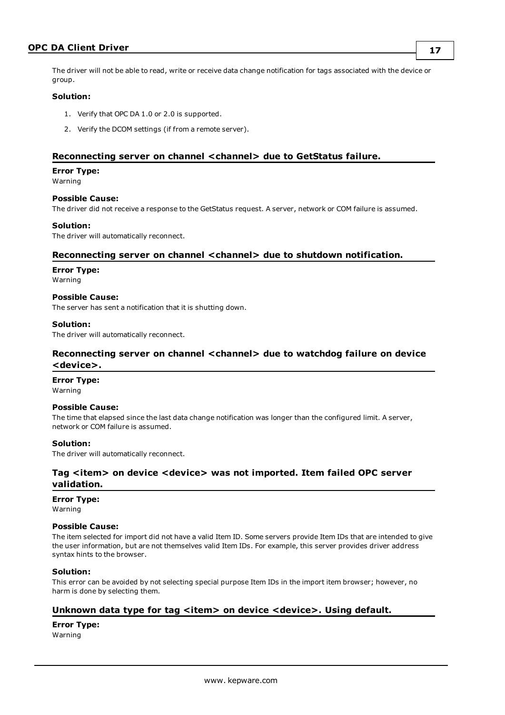### **OPC DA Client Driver**

The driver will not be able to read, write or receive data change notification for tags associated with the device or group.

#### **Solution:**

- 1. Verify that OPC DA 1.0 or 2.0 is supported.
- 2. Verify the DCOM settings (if from a remote server).

### <span id="page-16-0"></span>**Reconnecting server on channel <channel> due to GetStatus failure.**

#### **Error Type:**

Warning

#### **Possible Cause:**

The driver did not receive a response to the GetStatus request. A server, network or COM failure is assumed.

#### **Solution:**

<span id="page-16-1"></span>The driver will automatically reconnect.

#### **Reconnecting server on channel <channel> due to shutdown notification.**

#### **Error Type:**

Warning

**Possible Cause:**

The server has sent a notification that it is shutting down.

#### **Solution:**

<span id="page-16-2"></span>The driver will automatically reconnect.

### **Reconnecting server on channel <channel> due to watchdog failure on device <device>.**

#### **Error Type:**

Warning

#### **Possible Cause:**

The time that elapsed since the last data change notification was longer than the configured limit. A server, network or COM failure is assumed.

#### **Solution:**

<span id="page-16-3"></span>The driver will automatically reconnect.

### **Tag <item> on device <device> was not imported. Item failed OPC server validation.**

#### **Error Type:**

Warning

#### **Possible Cause:**

The item selected for import did not have a valid Item ID. Some servers provide Item IDs that are intended to give the user information, but are not themselves valid Item IDs. For example, this server provides driver address syntax hints to the browser.

#### **Solution:**

This error can be avoided by not selecting special purpose Item IDs in the import item browser; however, no harm is done by selecting them.

#### <span id="page-16-4"></span>**Unknown data type for tag <item> on device <device>. Using default.**

**Error Type:** Warning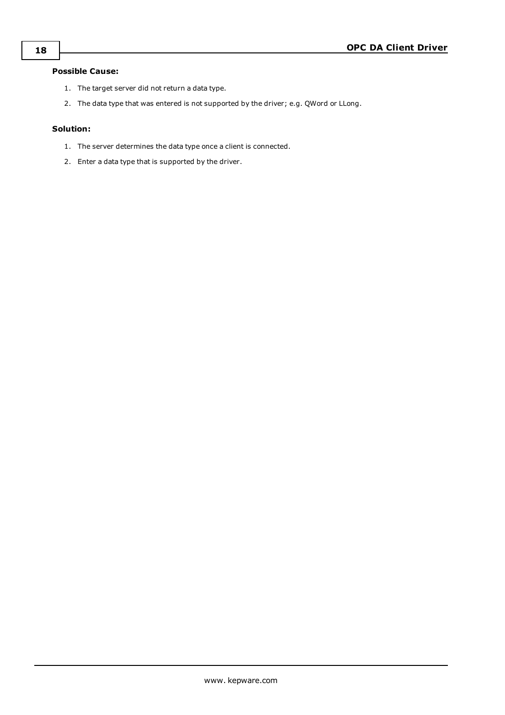# **Possible Cause:**

- 1. The target server did not return a data type.
- 2. The data type that was entered is not supported by the driver; e.g. QWord or LLong.

### **Solution:**

- 1. The server determines the data type once a client is connected.
- 2. Enter a data type that is supported by the driver.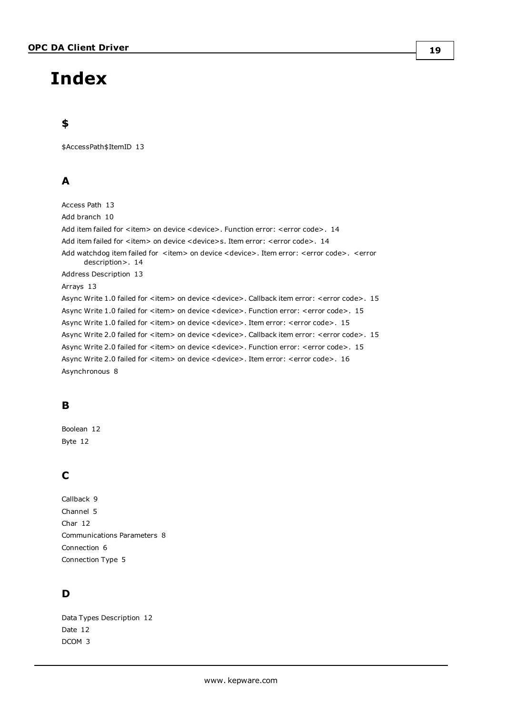# <span id="page-18-0"></span>**Index**

# **\$**

\$AccessPath\$ItemID [13](#page-12-1)

# **A**

Access Path [13](#page-12-1) Add branch [10](#page-9-0) Add item failed for  $\lt$ item> on device  $\lt$ device>. Function error:  $\lt$ error code>. [14](#page-13-1) Add item failed for <item> on device <device>s. Item error: <error code>. [14](#page-13-2) Add watchdog item failed for <item> on device <device>. Item error: <error code>. <error description>. [14](#page-13-3) Address Description [13](#page-12-0) Arrays [13](#page-12-2) Async Write 1.0 failed for <item> on device <device>. Callback item error: <error code>. [15](#page-14-0) Async Write 1.0 failed for <item> on device <device>. Function error: <error code>. [15](#page-14-1) Async Write 1.0 failed for <item> on device <device>. Item error: <error code>. [15](#page-14-2) Async Write 2.0 failed for <item> on device <device>. Callback item error: <error code>. [15](#page-14-3) Async Write 2.0 failed for <item> on device <device>. Function error: <error code>. [15](#page-14-4) Async Write 2.0 failed for <item> on device <device>. Item error: <error code>. [16](#page-15-0) Asynchronous [8](#page-7-2)

# **B**

Boolean [12](#page-11-1) Byte [12](#page-11-2)

# **C**

Callback [9](#page-8-1) Channel [5](#page-4-1) Char [12](#page-11-3) Communications Parameters [8](#page-7-0) Connection [6](#page-5-0) Connection Type [5](#page-4-2)

# **D**

Data Types Description [12](#page-11-0) Date [12](#page-11-4) DCOM [3](#page-2-3)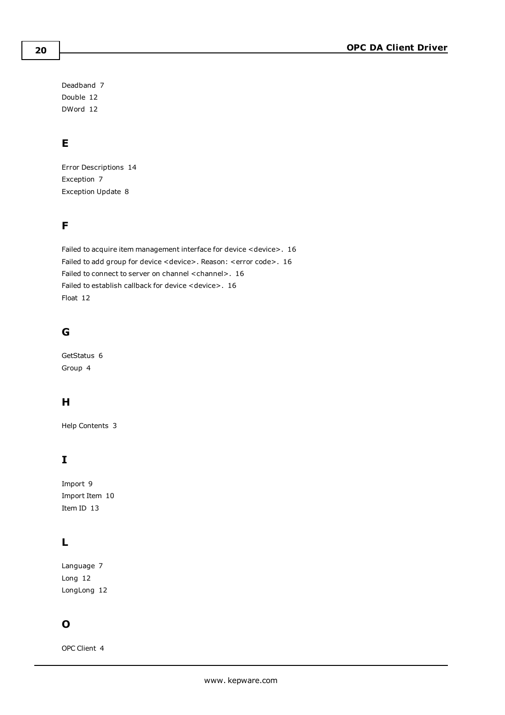Deadband [7](#page-6-1) Double [12](#page-11-5) DWord [12](#page-11-6)

# **E**

Error Descriptions [14](#page-13-0) Exception [7](#page-6-2) Exception Update [8](#page-7-3)

# **F**

Failed to acquire item management interface for device <device>. [16](#page-15-1) Failed to add group for device <device>. Reason: <error code>. [16](#page-15-2) Failed to connect to server on channel <channel>. [16](#page-15-3) Failed to establish callback for device <device>. [16](#page-15-4) Float [12](#page-11-7)

# **G**

GetStatus [6](#page-5-1) Group [4](#page-3-1)

# **H**

Help Contents [3](#page-2-0)

# **I**

Import [9](#page-8-0) Import Item [10](#page-9-1) Item ID [13](#page-12-3)

# **L**

Language [7](#page-6-3) Long [12](#page-11-8) LongLong [12](#page-11-9)

# **O**

OPC Client [4](#page-3-2)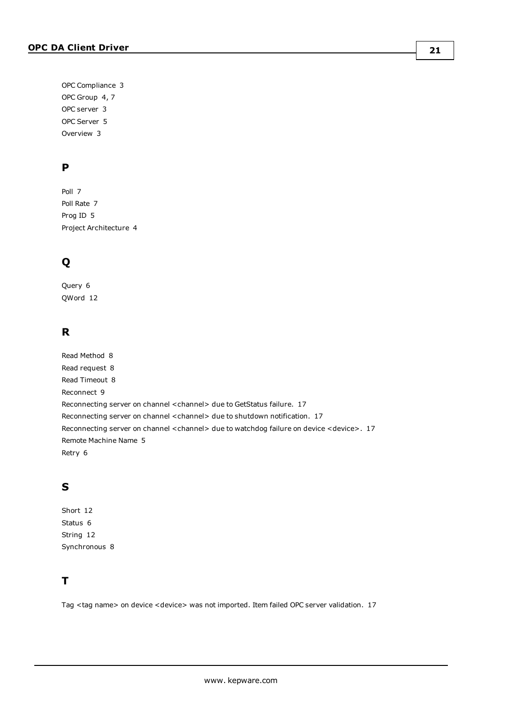OPC Compliance [3](#page-2-2) OPC Group [4](#page-3-2), [7](#page-6-0) OPC server [3](#page-2-3) OPC Server [5](#page-4-0) Overview [3](#page-2-1)

# **P**

Poll [7](#page-6-4) Poll Rate [7](#page-6-5) Prog ID [5](#page-4-3) Project Architecture [4](#page-3-0)

# **Q**

Query [6](#page-5-1) QWord [12](#page-11-10)

# **R**

Read Method [8](#page-7-4) Read request [8](#page-7-5) Read Timeout [8](#page-7-6) Reconnect [9](#page-8-2) Reconnecting server on channel <channel> due to GetStatus failure. [17](#page-16-0) Reconnecting server on channel <channel> due to shutdown notification. [17](#page-16-1) Reconnecting server on channel <channel> due to watchdog failure on device <device>. [17](#page-16-2) Remote Machine Name [5](#page-4-4) Retry [6](#page-5-2)

# **S**

Short [12](#page-11-11) Status [6](#page-5-1) String [12](#page-11-12) Synchronous [8](#page-7-2)

# **T**

Tag <tag name> on device <device> was not imported. Item failed OPC server validation. [17](#page-16-3)